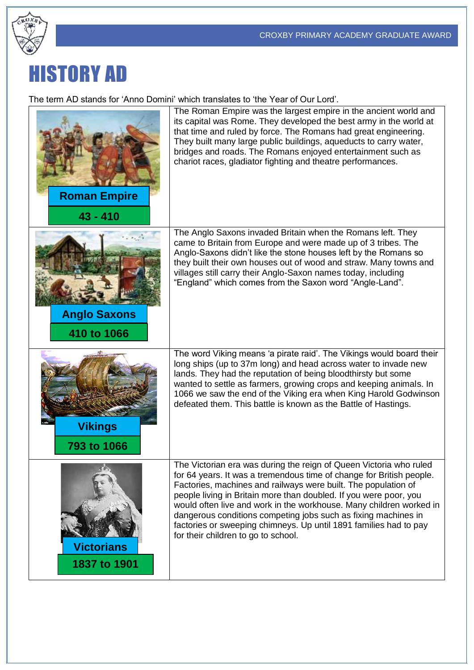

## HISTORY AD

The term AD stands for 'Anno Domini' which translates to 'the Year of Our Lord'.

| <b>Roman Empire</b><br>$43 - 410$  | The Roman Empire was the largest empire in the ancient world and<br>its capital was Rome. They developed the best army in the world at<br>that time and ruled by force. The Romans had great engineering.<br>They built many large public buildings, aqueducts to carry water,<br>bridges and roads. The Romans enjoyed entertainment such as<br>chariot races, gladiator fighting and theatre performances.                                                                                                                           |
|------------------------------------|----------------------------------------------------------------------------------------------------------------------------------------------------------------------------------------------------------------------------------------------------------------------------------------------------------------------------------------------------------------------------------------------------------------------------------------------------------------------------------------------------------------------------------------|
| <b>Anglo Saxons</b><br>410 to 1066 | The Anglo Saxons invaded Britain when the Romans left. They<br>came to Britain from Europe and were made up of 3 tribes. The<br>Anglo-Saxons didn't like the stone houses left by the Romans so<br>they built their own houses out of wood and straw. Many towns and<br>villages still carry their Anglo-Saxon names today, including<br>"England" which comes from the Saxon word "Angle-Land".                                                                                                                                       |
| <b>Vikings</b><br>793 to 1066      | The word Viking means 'a pirate raid'. The Vikings would board their<br>long ships (up to 37m long) and head across water to invade new<br>lands. They had the reputation of being bloodthirsty but some<br>wanted to settle as farmers, growing crops and keeping animals. In<br>1066 we saw the end of the Viking era when King Harold Godwinson<br>defeated them. This battle is known as the Battle of Hastings.                                                                                                                   |
| <b>Victorians</b><br>1837 to 1901  | The Victorian era was during the reign of Queen Victoria who ruled<br>for 64 years. It was a tremendous time of change for British people.<br>Factories, machines and railways were built. The population of<br>people living in Britain more than doubled. If you were poor, you<br>would often live and work in the workhouse. Many children worked in<br>dangerous conditions competing jobs such as fixing machines in<br>factories or sweeping chimneys. Up until 1891 families had to pay<br>for their children to go to school. |